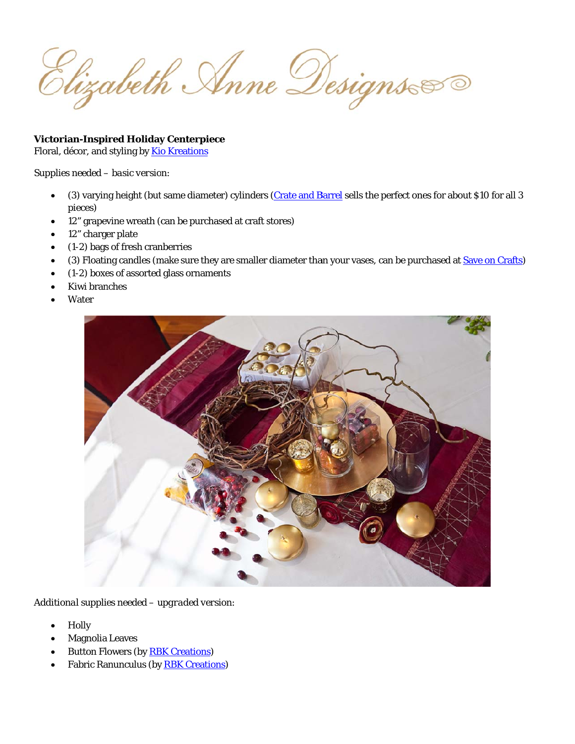Elizabeth Anne Designs

# **Victorian-Inspired Holiday Centerpiece**

Floral, décor, and styling by Kio Kreations

### Supplies needed - basic version:

- (3) varying height (but same diameter) cylinders (Crate and Barrel sells the perfect ones for about \$10 for all 3 pieces)
- 12" grapevine wreath (can be purchased at craft stores)
- 12" charger plate
- $\bullet$  (1-2) bags of fresh cranberries
- (3) Floating candles (make sure they are smaller diameter than your vases, can be purchased at Save on Crafts)
- (1-2) boxes of assorted glass ornaments
- Kiwi branches
- Water



Additional supplies needed - upgraded version:

- Holly
- **Magnolia Leaves**
- **Button Flowers (by RBK Creations)**
- **Fabric Ranunculus (by RBK Creations)**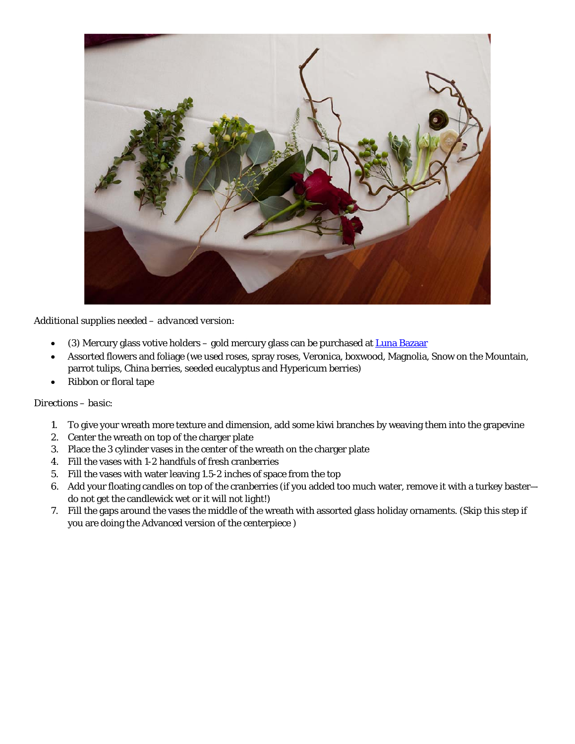

Additional supplies needed - advanced version:

- (3) Mercury glass votive holders gold mercury glass can be purchased at Luna Bazaar
- Assorted flowers and foliage (we used roses, spray roses, Veronica, boxwood, Magnolia, Snow on the Mountain, parrot tulips, China berries, seeded eucalyptus and Hypericum berries)
- Ribbon or floral tape

### Directions - basic:

- 1. To give your wreath more texture and dimension, add some kiwi branches by weaving them into the grapevine
- 2. Center the wreath on top of the charger plate
- 3. Place the 3 cylinder vases in the center of the wreath on the charger plate
- 4. Fill the vases with 1-2 handfuls of fresh cranberries
- 5. Fill the vases with water leaving 1.5-2 inches of space from the top
- 6. Add your floating candles on top of the cranberries (if you added too much water, remove it with a turkey basterdo not get the candlewick wet or it will not light!)
- 7. Fill the gaps around the vases the middle of the wreath with assorted glass holiday ornaments. (Skip this step if you are doing the Advanced version of the centerpiece)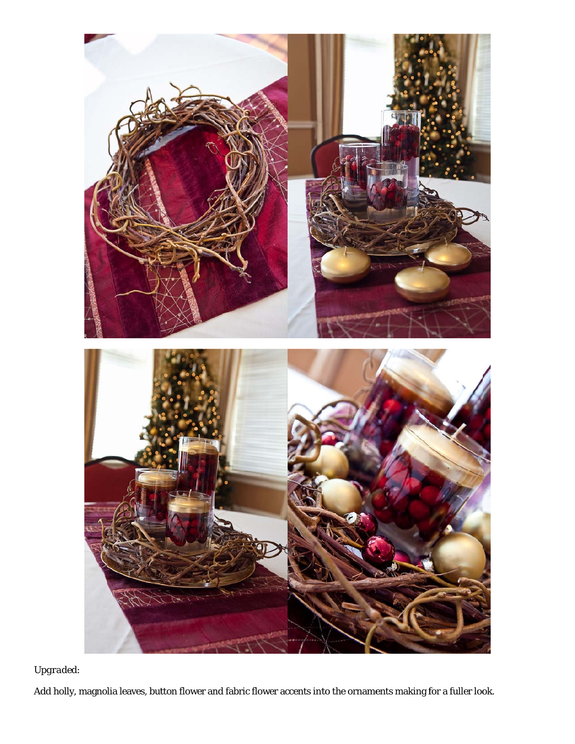

# *Upgr aded:*

Add h olly, magnolia leaves, button flower and fabric flower accents into the ornaments making for a fuller look.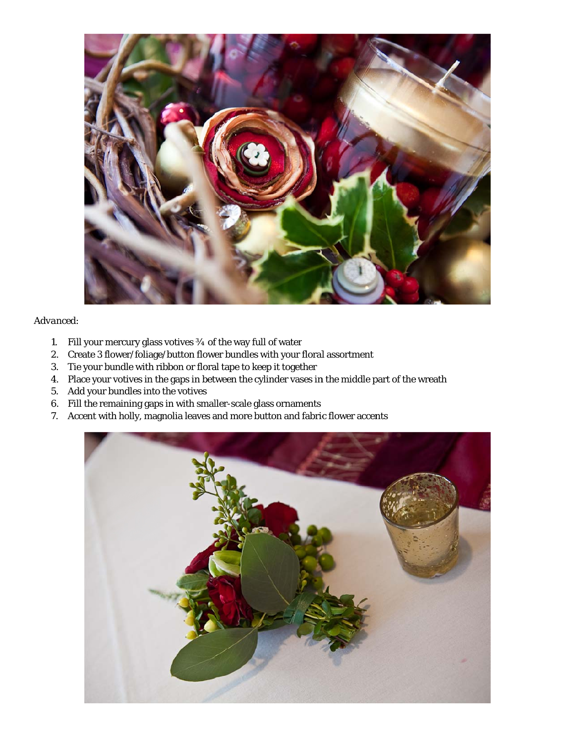

### *Adva anced:*

- 1 1. Fill your mercury glass votives 3⁄4 of the way full of water
- 2. Create 3 flower/foliage/button flower bundles with your floral assortment
- 3. Tie your bundle with ribbon or floral tape to keep it together
- 4. Place your votives in the gaps in between the cylinder vases in the middle part of the wreath
- 5 5. Add your bundles into the votives
- 6. Fill the remaining gaps in with smaller-scale glass ornaments
- 7. Accent with holly, magnolia leaves and more button and fabric flower accents